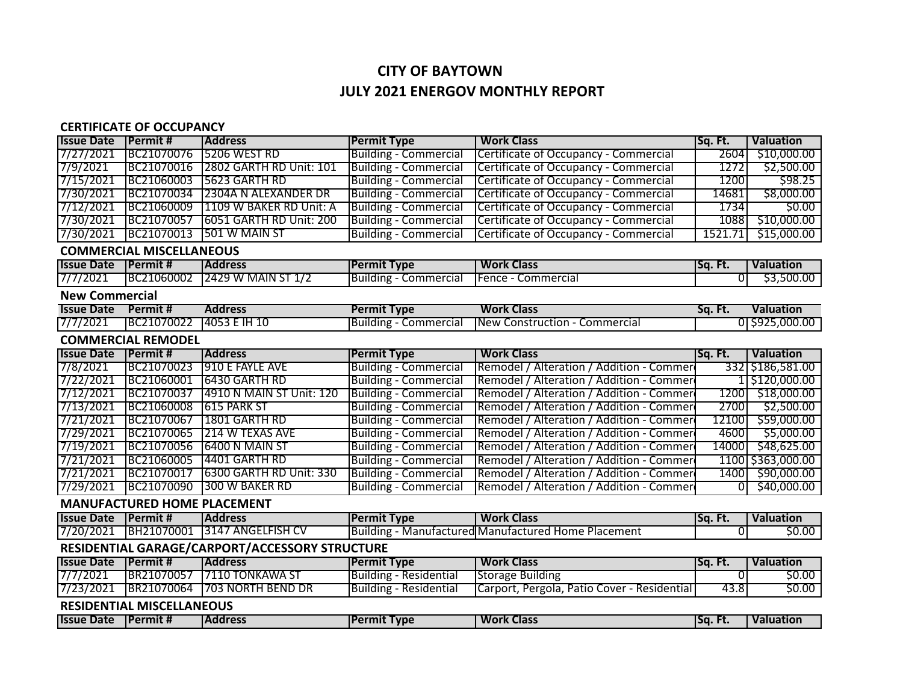## **CITY OF BAYTOWN JULY 2021 ENERGOV MONTHLY REPORT**

## **CERTIFICATE OF OCCUPANCY**

| <b>Issue Date</b>                              | <b>Permit#</b>                  | <b>Address</b>                  | <b>Permit Type</b>            | <b>Work Class</b>                                   | Sq. Ft.  | <b>Valuation</b>  |  |  |
|------------------------------------------------|---------------------------------|---------------------------------|-------------------------------|-----------------------------------------------------|----------|-------------------|--|--|
| 7/27/2021                                      | BC21070076                      | 5206 WEST RD                    | <b>Building - Commercial</b>  | Certificate of Occupancy - Commercial               | 2604     | \$10,000.00       |  |  |
| 7/9/2021                                       | BC21070016                      | <b>12802 GARTH RD Unit: 101</b> | <b>Building - Commercial</b>  | Certificate of Occupancy - Commercial               | 1272     | \$2,500.00        |  |  |
| 7/15/2021                                      | BC21060003                      | <b>5623 GARTH RD</b>            | <b>Building - Commercial</b>  | Certificate of Occupancy - Commercial               | 1200     | \$98.25           |  |  |
| 7/30/2021                                      | BC21070034                      | 12304A N ALEXANDER DR           | <b>Building - Commercial</b>  | Certificate of Occupancy - Commercial               | 14681    | \$8,000.00        |  |  |
| 7/12/2021                                      | BC21060009                      | 1109 W BAKER RD Unit: A         | <b>Building - Commercial</b>  | Certificate of Occupancy - Commercial               | 1734     | 50.00             |  |  |
| 7/30/2021                                      | BC21070057                      | 16051 GARTH RD Unit: 200        | <b>Building - Commercial</b>  | Certificate of Occupancy - Commercial               | 1088     | \$10,000.00       |  |  |
| 7/30/2021                                      | BC21070013                      | 501 W MAIN ST                   | <b>Building - Commercial</b>  | Certificate of Occupancy - Commercial               | 1521.71  | \$15,000.00       |  |  |
|                                                | <b>COMMERCIAL MISCELLANEOUS</b> |                                 |                               |                                                     |          |                   |  |  |
| <b>Issue Date</b>                              | <b>Permit#</b>                  | <b>Address</b>                  | <b>Permit Type</b>            | <b>Work Class</b>                                   | Sq. Ft.  | <b>Valuation</b>  |  |  |
| 7/7/2021                                       | BC21060002                      | 2429 W MAIN ST 1/2              | <b>Building - Commercial</b>  | Fence - Commercial                                  | $\Omega$ | \$3,500.00        |  |  |
| <b>New Commercial</b>                          |                                 |                                 |                               |                                                     |          |                   |  |  |
| <b>Issue Date</b>                              | Permit #                        | <b>Address</b>                  | <b>Permit Type</b>            | <b>Work Class</b>                                   | Sq. Ft.  | <b>Valuation</b>  |  |  |
| 7/7/2021                                       | BC21070022                      | 14053 E 1H 10                   | <b>Building - Commercial</b>  | <b>New Construction - Commercial</b>                |          | 0 \$925,000.00    |  |  |
|                                                | <b>COMMERCIAL REMODEL</b>       |                                 |                               |                                                     |          |                   |  |  |
| <b>Issue Date</b>                              | <b>Permit#</b>                  | <b>Address</b>                  | <b>Permit Type</b>            | <b>Work Class</b>                                   | Sq. Ft.  | <b>Valuation</b>  |  |  |
| 7/8/2021                                       | BC21070023                      | 910 E FAYLE AVE                 | <b>Building - Commercial</b>  | Remodel / Alteration / Addition - Commer            |          | 332 \$186,581.00  |  |  |
| 7/22/2021                                      | BC21060001                      | 6430 GARTH RD                   | <b>Building - Commercial</b>  | Remodel / Alteration / Addition - Commer            |          | 1  \$120,000.00   |  |  |
| 7/12/2021                                      | BC21070037                      | 14910 N MAIN ST Unit: 120       | <b>Building - Commercial</b>  | Remodel / Alteration / Addition - Commer            | 1200     | \$18,000.00       |  |  |
| 7/13/2021                                      | BC21060008                      | 615 PARK ST                     | <b>Building - Commercial</b>  | Remodel / Alteration / Addition - Commer            | 2700     | \$2,500.00        |  |  |
| 7/21/2021                                      | BC21070067                      | 1801 GARTH RD                   | <b>Building - Commercial</b>  | Remodel / Alteration / Addition - Commer            | 12100    | \$59,000.00       |  |  |
| 7/29/2021                                      | BC21070065                      | 214 W TEXAS AVE                 | <b>Building - Commercial</b>  | Remodel / Alteration / Addition - Commer            | 4600     | \$5,000.00        |  |  |
| 7/19/2021                                      | BC21070056                      | 6400 N MAIN ST                  | <b>Building - Commercial</b>  | Remodel / Alteration / Addition - Commer            | 14000    | \$48,625.00       |  |  |
| 7/21/2021                                      | BC21060005                      | 4401 GARTH RD                   | <b>Building - Commercial</b>  | Remodel / Alteration / Addition - Commer            |          | 1100 \$363,000.00 |  |  |
| 7/21/2021                                      | BC21070017                      | 6300 GARTH RD Unit: 330         | <b>Building - Commercial</b>  | Remodel / Alteration / Addition - Commer            | 1400     | \$90,000.00       |  |  |
| 7/29/2021                                      | BC21070090                      | <b>300 W BAKER RD</b>           | <b>Building - Commercial</b>  | Remodel / Alteration / Addition - Commer            | ΩI       | \$40,000.00       |  |  |
| <b>MANUFACTURED HOME PLACEMENT</b>             |                                 |                                 |                               |                                                     |          |                   |  |  |
| <b>Issue Date</b>                              | Permit #                        | <b>Address</b>                  | <b>Permit Type</b>            | <b>Work Class</b>                                   | Sq. Ft.  | <b>Valuation</b>  |  |  |
| 7/20/2021                                      | BH21070001                      | 3147 ANGELFISH CV               |                               | Building - Manufactured Manufactured Home Placement | 0        | \$0.00            |  |  |
| RESIDENTIAL GARAGE/CARPORT/ACCESSORY STRUCTURE |                                 |                                 |                               |                                                     |          |                   |  |  |
| <b>Issue Date</b>                              | <b>Permit#</b>                  | <b>Address</b>                  | <b>Permit Type</b>            | <b>Work Class</b>                                   | Sq. Ft.  | <b>Valuation</b>  |  |  |
| 7/7/2021                                       | BR21070057                      | 7110 TONKAWA ST                 | <b>Building - Residential</b> | <b>Storage Building</b>                             | 0        | \$0.00            |  |  |
| 7/23/2021                                      | BR21070064                      | <b>1703 NORTH BEND DR</b>       | <b>Building - Residential</b> | Carport, Pergola, Patio Cover - Residential         | 43.8     | 50.00             |  |  |
| <b>RESIDENTIAL MISCELLANEOUS</b>               |                                 |                                 |                               |                                                     |          |                   |  |  |
| <b>Issue Date</b>                              | <b>Permit#</b>                  | <b>Address</b>                  | <b>Permit Type</b>            | <b>Work Class</b>                                   | Sq. Ft.  | <b>Valuation</b>  |  |  |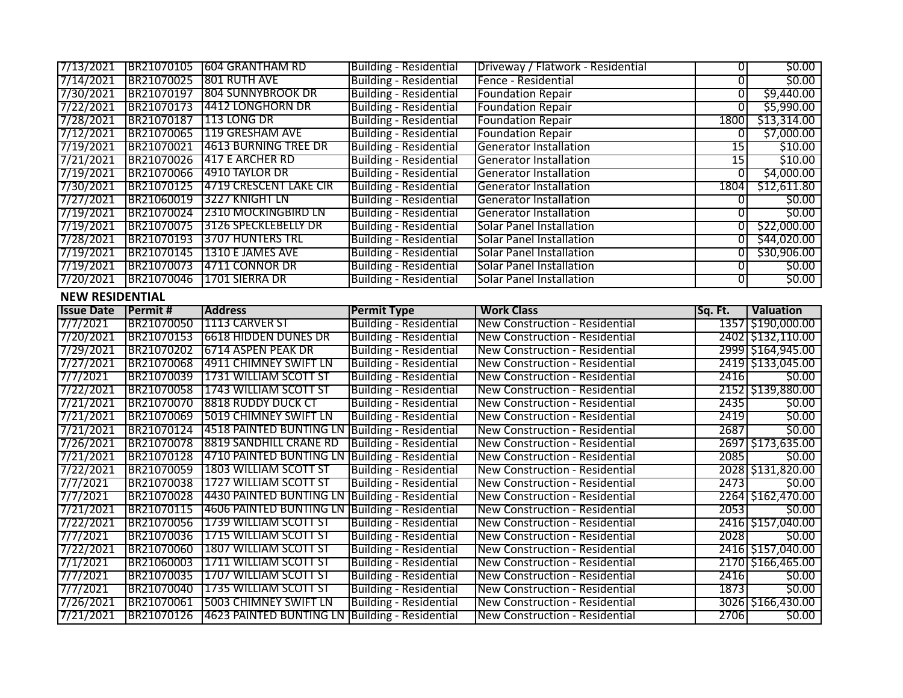|                        |                        | 7/13/2021  BR21070105  604 GRANTHAM RD                                         | <b>Building - Residential</b>                                  | Driveway / Flatwork - Residential     | 01             | 50.00                                                                                                                                                                                                                                                                                                                                |
|------------------------|------------------------|--------------------------------------------------------------------------------|----------------------------------------------------------------|---------------------------------------|----------------|--------------------------------------------------------------------------------------------------------------------------------------------------------------------------------------------------------------------------------------------------------------------------------------------------------------------------------------|
| 7/14/2021              |                        | BR21070025 801 RUTH AVE                                                        | <b>Building - Residential</b>                                  | Fence - Residential                   | 0              | 50.00                                                                                                                                                                                                                                                                                                                                |
| 7/30/2021              |                        | BR21070197 804 SUNNYBROOK DR                                                   | <b>Building - Residential</b>                                  | <b>Foundation Repair</b>              | $\overline{0}$ | \$9,440.00                                                                                                                                                                                                                                                                                                                           |
| 7/22/2021              |                        | BR21070173 4412 LONGHORN DR                                                    | <b>Building - Residential</b>                                  | <b>Foundation Repair</b>              | 0              | \$5,990.00                                                                                                                                                                                                                                                                                                                           |
| 7/28/2021              | BR21070187 113 LONG DR |                                                                                | <b>Building - Residential</b>                                  | <b>Foundation Repair</b>              | 1800           | \$13,314.00                                                                                                                                                                                                                                                                                                                          |
| 7/12/2021              |                        | BR21070065 119 GRESHAM AVE                                                     | <b>Building - Residential</b>                                  | <b>Foundation Repair</b>              | O              | \$7,000.00                                                                                                                                                                                                                                                                                                                           |
| 7/19/2021              | BR21070021             | <b>4613 BURNING TREE DR</b>                                                    | <b>Building - Residential</b>                                  | <b>Generator Installation</b>         | 15             | \$10.00                                                                                                                                                                                                                                                                                                                              |
| 7/21/2021              | BR21070026             | 1417 E ARCHER RD                                                               | <b>Building - Residential</b>                                  | <b>Generator Installation</b>         | 15             | \$10.00                                                                                                                                                                                                                                                                                                                              |
| 7/19/2021              |                        | BR21070066 4910 TAYLOR DR                                                      | <b>Building - Residential</b>                                  | <b>Generator Installation</b>         | 01             | \$4,000.00                                                                                                                                                                                                                                                                                                                           |
| 7/30/2021              |                        | BR21070125 4719 CRESCENT LAKE CIR                                              | <b>Building - Residential</b>                                  | <b>Generator Installation</b>         | 1804           | \$12,611.80                                                                                                                                                                                                                                                                                                                          |
| 7/27/2021              |                        | BR21060019 3227 KNIGHT LN                                                      | <b>Building - Residential</b>                                  | <b>Generator Installation</b>         | 0l             | \$0.00                                                                                                                                                                                                                                                                                                                               |
| 7/19/2021              |                        | BR21070024 2310 MOCKINGBIRD LN                                                 | <b>Building - Residential</b>                                  | <b>Generator Installation</b>         | $\overline{0}$ | \$0.00                                                                                                                                                                                                                                                                                                                               |
| 7/19/2021              |                        | BR21070075 3126 SPECKLEBELLY DR                                                | <b>Building - Residential</b>                                  | <b>Solar Panel Installation</b>       | 0l             | \$22,000.00                                                                                                                                                                                                                                                                                                                          |
| 7/28/2021              | BR21070193             | <b>3707 HUNTERS TRL</b>                                                        | <b>Building - Residential</b>                                  | <b>Solar Panel Installation</b>       | 0l             | \$44,020.00                                                                                                                                                                                                                                                                                                                          |
| 7/19/2021              | BR21070145             | 1310 E JAMES AVE                                                               | <b>Building - Residential</b>                                  | <b>Solar Panel Installation</b>       | $\overline{0}$ | \$30,906.00                                                                                                                                                                                                                                                                                                                          |
| 7/19/2021              | BR21070073             | 14711 CONNOR DR                                                                | <b>Building - Residential</b>                                  | <b>Solar Panel Installation</b>       | 0              | 50.00                                                                                                                                                                                                                                                                                                                                |
| 7/20/2021              | BR21070046             | 1701 SIERRA DR                                                                 | <b>Building - Residential</b>                                  | <b>Solar Panel Installation</b>       | 0              | 50.00                                                                                                                                                                                                                                                                                                                                |
| <b>NEW RESIDENTIAL</b> |                        |                                                                                |                                                                |                                       |                |                                                                                                                                                                                                                                                                                                                                      |
| <b>Issue Date</b>      | <b>Permit#</b>         | <b>Address</b>                                                                 | <b>Permit Type</b>                                             | <b>Work Class</b>                     | Sq. Ft.        | <b>Valuation</b>                                                                                                                                                                                                                                                                                                                     |
| 7/7/2021               |                        | BR21070050 11113 CARVER ST                                                     | <b>Building - Residential</b>                                  | New Construction - Residential        |                | 1357 \$190,000.00                                                                                                                                                                                                                                                                                                                    |
|                        |                        |                                                                                |                                                                |                                       |                |                                                                                                                                                                                                                                                                                                                                      |
|                        |                        | BR21070153 6618 HIDDEN DUNES DR                                                | <b>Building - Residential</b>                                  | New Construction - Residential        |                |                                                                                                                                                                                                                                                                                                                                      |
|                        |                        | BR21070202 6714 ASPEN PEAK DR                                                  | <b>Building - Residential</b>                                  | New Construction - Residential        |                |                                                                                                                                                                                                                                                                                                                                      |
| 7/20/2021<br>7/29/2021 |                        | BR21070068 4911 CHIMNEY SWIFT LN                                               |                                                                | New Construction - Residential        |                |                                                                                                                                                                                                                                                                                                                                      |
| 7/27/2021<br>7/7/2021  |                        | BR21070039 1731 WILLIAM SCOTT ST                                               | <b>Building - Residential</b><br><b>Building - Residential</b> | New Construction - Residential        | 2416           |                                                                                                                                                                                                                                                                                                                                      |
| 7/22/2021              | BR21070058             | <b>1743 WILLIAM SCOTT ST</b>                                                   | <b>Building - Residential</b>                                  | New Construction - Residential        |                |                                                                                                                                                                                                                                                                                                                                      |
| 7/21/2021              |                        | BR21070070 8818 RUDDY DUCK CT                                                  | <b>Building - Residential</b>                                  | New Construction - Residential        | 2435           |                                                                                                                                                                                                                                                                                                                                      |
|                        | BR21070069             | <b>5019 CHIMNEY SWIFT LN</b>                                                   | <b>Building - Residential</b>                                  | New Construction - Residential        | 2419           |                                                                                                                                                                                                                                                                                                                                      |
| 7/21/2021<br>7/21/2021 |                        | BR21070124 4518 PAINTED BUNTING LN Building - Residential                      |                                                                | New Construction - Residential        | 2687           |                                                                                                                                                                                                                                                                                                                                      |
| 7/26/2021              | BR21070078             | <b>8819 SANDHILL CRANE RD</b>                                                  | <b>Building - Residential</b>                                  | New Construction - Residential        |                |                                                                                                                                                                                                                                                                                                                                      |
| 7/21/2021              | BR21070128             | 4710 PAINTED BUNTING LN Building - Residential                                 |                                                                | New Construction - Residential        | 2085           |                                                                                                                                                                                                                                                                                                                                      |
| 7/22/2021              |                        | BR21070059 1803 WILLIAM SCOTT ST                                               | <b>Building - Residential</b>                                  | New Construction - Residential        |                |                                                                                                                                                                                                                                                                                                                                      |
| 7/7/2021               | BR21070038             | 1727 WILLIAM SCOTT ST                                                          | <b>Building - Residential</b>                                  | New Construction - Residential        | 2473           |                                                                                                                                                                                                                                                                                                                                      |
| 7/7/2021               | BR21070028             | 4430 PAINTED BUNTING LN Building - Residential                                 |                                                                | New Construction - Residential        |                |                                                                                                                                                                                                                                                                                                                                      |
| 7/21/2021              | BR21070115             | 4606 PAINTED BUNTING LN Building - Residential                                 |                                                                | New Construction - Residential        | 2053           |                                                                                                                                                                                                                                                                                                                                      |
| 7/22/2021              |                        | BR21070056 1739 WILLIAM SCOTT ST                                               | <b>Building - Residential</b>                                  | <b>New Construction - Residential</b> |                |                                                                                                                                                                                                                                                                                                                                      |
| 7/7/2021               |                        | BR21070036 1715 WILLIAM SCOTT ST                                               | <b>Building - Residential</b>                                  | New Construction - Residential        | 2028           |                                                                                                                                                                                                                                                                                                                                      |
| 7/22/2021              |                        | BR21070060 1807 WILLIAM SCOTT ST                                               | <b>Building - Residential</b>                                  | New Construction - Residential        |                |                                                                                                                                                                                                                                                                                                                                      |
| 7/1/2021               |                        | BR21060003 1711 WILLIAM SCOTT ST                                               | <b>Building - Residential</b>                                  | New Construction - Residential        |                |                                                                                                                                                                                                                                                                                                                                      |
| 7/7/2021               |                        | BR21070035 1707 WILLIAM SCOTT ST                                               | <b>Building - Residential</b>                                  | New Construction - Residential        | 2416           |                                                                                                                                                                                                                                                                                                                                      |
| 7/7/2021               | BR21070040             | 1735 WILLIAM SCOTT ST                                                          | <b>Building - Residential</b>                                  | New Construction - Residential        | 1873           |                                                                                                                                                                                                                                                                                                                                      |
| 7/26/2021              | BR21070061             | <b>5003 CHIMNEY SWIFT LN</b><br>4623 PAINTED BUNTING LN Building - Residential | <b>Building - Residential</b>                                  | New Construction - Residential        |                | 2402 \$132,110.00<br>2999 \$164,945.00<br>2419 \$133,045.00<br>50.00<br>2152 \$139,880.00<br>\$0.00<br>50.00<br>50.00<br>2697 \$173,635.00<br>\$0.00<br>2028 \$131,820.00<br>\$0.00<br>2264 \$162,470.00<br>\$0.00<br>2416 \$157,040.00<br>\$0.00<br>2416 \$157,040.00<br>2170 \$166,465.00<br>\$0.00<br>\$0.00<br>3026 \$166,430.00 |